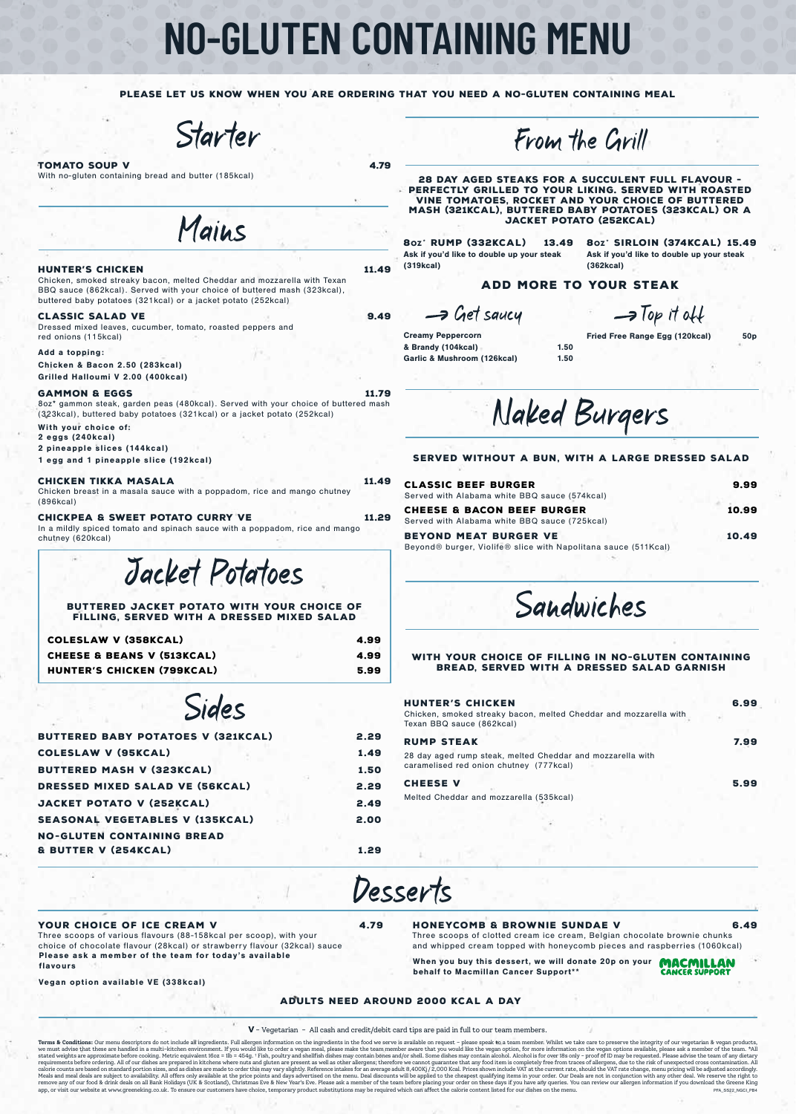# **NO-GLUTEN CONTAINING MENU**

PLEASE LET US KNOW WHEN YOU ARE ORDERING THAT YOU NEED A NO-GLUTEN CONTAINING MEAL

Starter

## TOMATO SOUP V 4.79

With no-gluten containing bread and butter (185kcal)

Mains

### HUNTER'S CHICKEN 11.49

Chicken, smoked streaky bacon, melted Cheddar and mozzarella with Texan BBQ sauce (862kcal). Served with your choice of buttered mash (323kcal), buttered baby potatoes (321kcal) or a jacket potato (252kcal)

# CLASSIC SALAD VE 9.49

Dressed mixed leaves, cucumber, tomato, roasted peppers and red onions (115kcal)

#### Add a topping:

Chicken & Bacon 2.50 (283kcal) Grilled Halloumi V 2.00 (400kcal)

### GAMMON & EGGS 11.79

8oz\* gammon steak, garden peas (480kcal). Served with your choice of buttered mash (323kcal), buttered baby potatoes (321kcal) or a jacket potato (252kcal) With your choice of: 2 eggs (240kcal) 2 pineapple slices (144kcal)

# 1 egg and 1 pineapple slice (192kcal)

CHICKEN TIKKA MASALA 11.49 Chicken breast in a masala sauce with a poppadom, rice and mango chutney (896kcal)

CHICKPEA & SWEET POTATO CURRY VE 11.29 In a mildly spiced tomato and spinach sauce with a poppadom, rice and mango chutney (620kcal)

Jacket Potatoes

BUTTERED JACKET POTATO WITH YOUR CHOICE OF filling, served with a dressed mixed salad

| COLESLAW V (358KCAL)                  | 4.99 |
|---------------------------------------|------|
| <b>CHEESE &amp; BEANS V (513KCAL)</b> | 4.99 |
| HUNTER'S CHICKEN (799KCAL)            | 5.99 |

Sides

| BUTTERED BABY POTATOES V (321KCAL)     | 2.29 |
|----------------------------------------|------|
| <b>COLESLAW V (95KCAL)</b>             | 1.49 |
| <b>BUTTERED MASH V (323KCAL)</b>       | 1.50 |
| DRESSED MIXED SALAD VE (56KCAL)        | 2.29 |
| JACKET POTATO V (252KCAL)              | 2.49 |
| <b>SEASONAL VEGETABLES V (135KCAL)</b> | 2.00 |
| <b>NO-GLUTEN CONTAINING BREAD</b>      |      |
| & BUTTER V (254KCAL)                   | 1.29 |
|                                        |      |

From the Grill

28 DAY AGED STEAKS FOR A SUCCULENT FULL FLAVOUR -PERFECTLY GRILLED TO YOUR LIKING. SERVED WITH ROASTED VINE TOMATOES, ROCKET AND YOUR CHOICE OF BUTTERED MASH (321KCAL), BUTTERED BABY POTATOES (323KCAL) OR A JACKET POTATO (252KCAL)

Ask if you'd like to double up your steak (319kcal)

8oz\* RUMP (332KCAL) 13.49 8oz\* SIRLOIN (374KCAL) 15.49 Ask if you'd like to double up your steak (362kcal)

# ADD MORE TO YOUR STEAK

 $\rightarrow$  Top it off

Creamy Peppercorn & Brandy (104kcal) 1.50 Garlic & Mushroom (126kcal) 1.50

 $\rightarrow$  Get saucy

Fried Free Range Egg (120kcal) 50p

Naked Burgers

Served without a bun, with a large dressed salad

| <b>CLASSIC BEEF BURGER</b><br>Served with Alabama white BBQ sauce (574kcal)                    | 9.99  |
|------------------------------------------------------------------------------------------------|-------|
| <b>CHEESE &amp; BACON BEEF BURGER</b><br>Served with Alabama white BBQ sauce (725kcal)         | 10.99 |
| <b>BEYOND MEAT BURGER VE</b><br>Beyond® burger, Violife® slice with Napolitana sauce (511Kcal) | 10.49 |
|                                                                                                |       |

Sandwiches

# With your choice of filling in no-gluten containing bread, served with a dressed salad garnish

| <b>HUNTER'S CHICKEN</b><br>Chicken, smoked streaky bacon, melted Cheddar and mozzarella with<br>Texan BBQ sauce (862kcal) | 6.99 |
|---------------------------------------------------------------------------------------------------------------------------|------|
| <b>RUMP STEAK</b>                                                                                                         | 7.99 |
| 28 day aged rump steak, melted Cheddar and mozzarella with<br>caramelised red onion chutney (777kcal)                     |      |
| <b>CHEESE V</b>                                                                                                           | 5.99 |
| Melted Cheddar and mozzarella (535kcal)                                                                                   |      |
|                                                                                                                           |      |

Desserts

# YOUR CHOICE OF ICE CREAM V 4.79

Three scoops of various flavours (88-158kcal per scoop), with your choice of chocolate flavour (28kcal) or strawberry flavour (32kcal) sauce Please ask a member of the team for today's available flavours

Vegan option available VE (338kcal)

HONEYCOMB & BROWNIE SUNDAE V 6.49

Three scoops of clotted cream ice cream, Belgian chocolate brownie chunks and whipped cream topped with honeycomb pieces and raspberries (1060kcal)

**MACMILLAN**<br>CANCER SUPPORT When you buy this dessert, we will donate 20p on your behalf to Macmillan Cancer Support\*\*

Adults need around 2000 kcal a day

**V** - Vegetarian - All cash and credit/debit card tips are paid in full to our team members.

**Terms & Conditions:** Our menu descriptors do not include all ingredients. Full allergen information on the ingedients in the food we serve is available on request - please speak to a team member. Whist we take care to pre